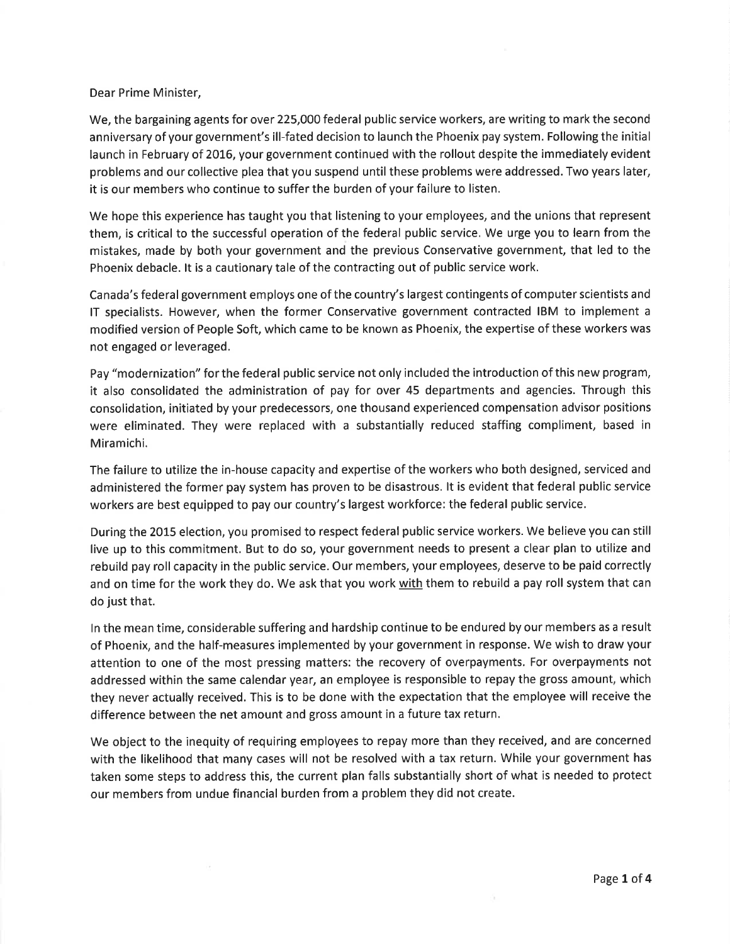## Dear Prime Minister,

We, the bargaining agents for over 225,OOO federal public service workers, are writing to mark the second anniversary of your government's ill-fated decision to launch the Phoenix pay system. Following the initial launch in February of 2016, your government continued with the rollout despite the immediately evident problems and our collective plea that you suspend until these problems were addressed. Two years later, it is our members who continue to suffer the burden of your failure to listen.

We hope this experience has taught you that listening to your employees, and the unions that represent them, is critical to the successful operation of the federal public service. We urge you to learn from the mistakes, made by both your government and the previous Conservative government, that led to the Phoenix debacle. It is a cautionary tale of the contracting out of public service work.

Canada's federal government employs one of the country's largest contingents of computer scientists and lT specialists. However, when the former Conservative government contracted IBM to implement <sup>a</sup> modified version of People Soft, which came to be known as Phoenix, the expertise of these workers was not engaged or leveraged.

Pay "modernization" for the federal public service not only included the introduction of this new program, it also consolidated the administration of pay for over 45 departments and agencies. Through this consolidation, initiated by your predecessors, one thousand experienced compensation advisor positions were eliminated. They were replaced with a substantially reduced staffing compliment, based in Miramichi.

The failure to utilize the in-house capacity and expertise of the workers who both designed, serviced and administered the former pay system has proven to be disastrous. lt is evident that federal public service workers are best equipped to pay our country's largest workforce: the federal public service.

During the 2015 election, you promised to respect federal public service workers. We believe you can still live up to this commitment. But to do so, your government needs to present a clear plan to utilize and rebuild pay roll capacity in the public service. Our members, your employees, deserve to be paid correctly and on time for the work they do. We ask that you work with them to rebuild a pay roll system that can do just that.

In the mean time, considerable suffering and hardship continue to be endured by our members as a result of Phoenix, and the half-measures implemented by your government in response. We wish to draw your attention to one of the most pressing matters: the recovery of overpayments. For overpayments not addressed within the same calendar year, an employee is responsible to repay the gross amount, which they never actually received. This is to be done with the expectation that the employee will receive the difference between the net amount and gross amount in a future tax return.

We object to the inequity of requiring employees to repay more than they received, and are concerned with the likelihood that many cases will not be resolved with a tax return, While your government has taken some steps to address this, the current plan falls substantially short of what is needed to protect our members from undue financial burden from a problem they did not create.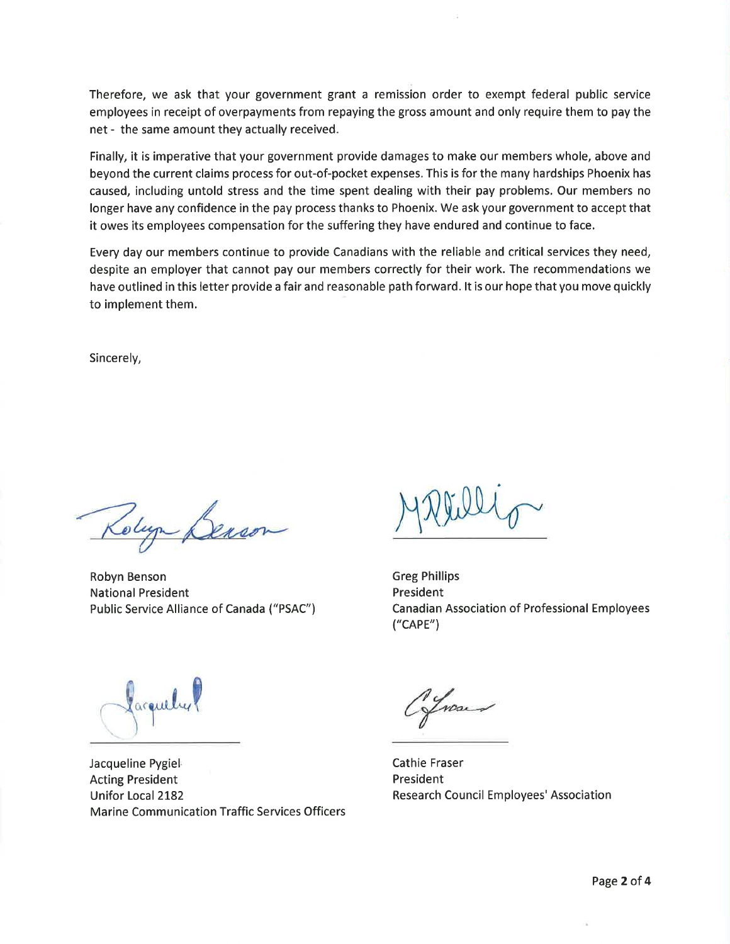Therefore, we ask that your government grant a remission order to exempt federal public service employees in receipt of overpayments from repaying the gross amount and only require them to pay the net - the same amount they actually received.

Finally, it is imperative that your government provide damages to make our members whole, above and beyond the current claims process for out-of-pocket expenses. This is for the many hardships Phoenix has caused, including untold stress and the time spent dealing with their pay problems. Our members no longer have any confidence in the pay process thanks to Phoenix. We ask your government to accept that it owes its employees compensation for the suffering they have endured and continue to face.

Every day our members continue to provide Canadians with the reliable and critical services they need, despite an employer that cannot pay our members correctly for their work. The recommendations we have outlined in this letter provide a fair and reasonable path forward. lt is our hope that you move quickly to implement them.

Sincerely,

Kolyn &

Robyn Benson National President Public Service Alliance of Canada ("PSAC")

Greg Phillips President Canadian Association of Professional Employees ("cAPE")

facquely

Jacqueline Pygiel. Acting President Unifor Local 2182 Marine Communication Traffic Services Officers

ncs

Cathie Fraser President Research Council Employees' Association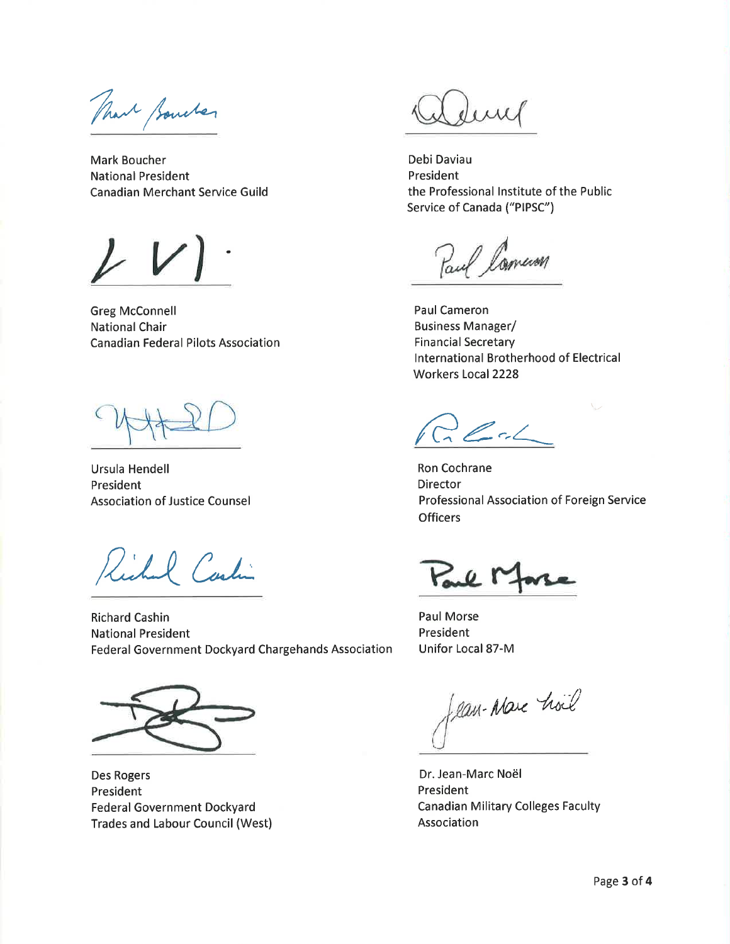Thank Souther

**Mark Boucher National President Canadian Merchant Service Guild** 

**Greg McConnell National Chair Canadian Federal Pilots Association** 

Ursula Hendell President **Association of Justice Counsel** 

Richard Castin

**Richard Cashin National President** Federal Government Dockyard Chargehands Association

**Des Rogers** President **Federal Government Dockyard Trades and Labour Council (West)** 

Debi Daviau President the Professional Institute of the Public Service of Canada ("PIPSC")

Paul Lamum

**Paul Cameron Business Manager/ Financial Secretary** International Brotherhood of Electrical **Workers Local 2228** 

Tech

**Ron Cochrane Director** Professional Association of Foreign Service **Officers** 

Paul M

Paul Morse President Unifor Local 87-M

flan-Marc hoil

Dr. Jean-Marc Noël President **Canadian Military Colleges Faculty** Association